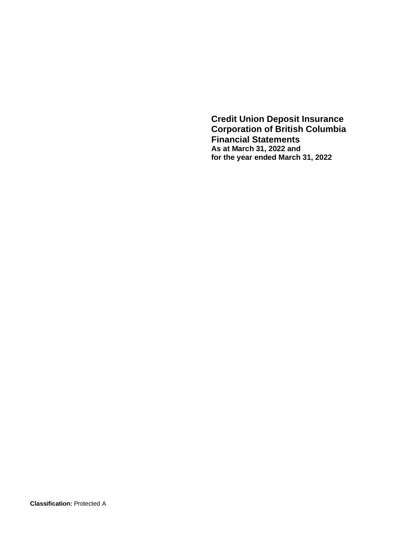**Credit Union Deposit Insurance Corporation of British Columbia Financial Statements As at March 31, 2022 and for the year ended March 31, 2022**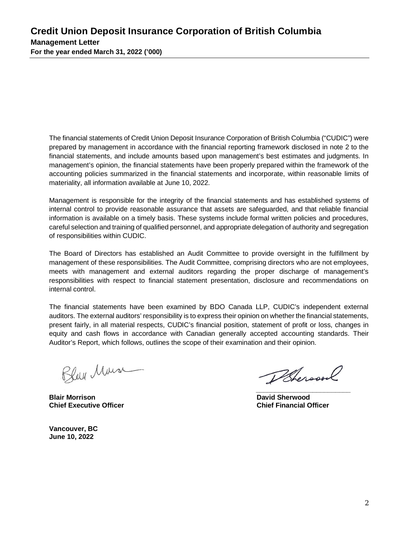The financial statements of Credit Union Deposit Insurance Corporation of British Columbia ("CUDIC") were prepared by management in accordance with the financial reporting framework disclosed in note 2 to the financial statements, and include amounts based upon management's best estimates and judgments. In management's opinion, the financial statements have been properly prepared within the framework of the accounting policies summarized in the financial statements and incorporate, within reasonable limits of materiality, all information available at June 10, 2022.

Management is responsible for the integrity of the financial statements and has established systems of internal control to provide reasonable assurance that assets are safeguarded, and that reliable financial information is available on a timely basis. These systems include formal written policies and procedures, careful selection and training of qualified personnel, and appropriate delegation of authority and segregation of responsibilities within CUDIC.

The Board of Directors has established an Audit Committee to provide oversight in the fulfillment by management of these responsibilities. The Audit Committee, comprising directors who are not employees, meets with management and external auditors regarding the proper discharge of management's responsibilities with respect to financial statement presentation, disclosure and recommendations on internal control.

The financial statements have been examined by BDO Canada LLP, CUDIC's independent external auditors. The external auditors' responsibility is to express their opinion on whether the financial statements, present fairly, in all material respects, CUDIC's financial position, statement of profit or loss, changes in equity and cash flows in accordance with Canadian generally accepted accounting standards. Their Auditor's Report, which follows, outlines the scope of their examination and their opinion.

Bleu Mus

**\_\_\_\_\_\_\_\_\_\_\_\_\_\_\_\_\_\_\_\_\_\_\_\_\_ \_\_\_\_\_\_\_\_\_\_\_\_\_\_\_\_\_\_\_\_\_\_\_\_\_ Blair Morrison Chief Executive Officer Chief Executive Officer Chief Executive Officer Chief Executive Officer Chief Executive Officer** 

**Vancouver, BC June 10, 2022**

Pheroson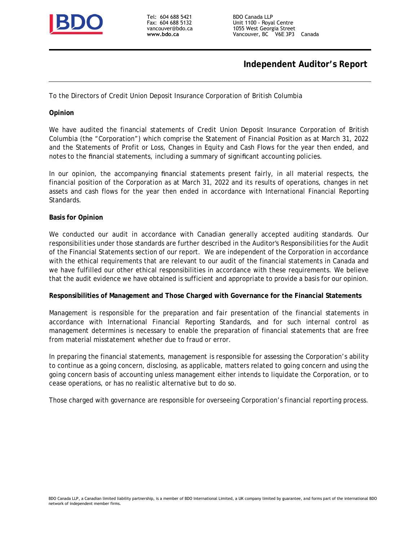

Tel: 604 688 5421 Fax: 604 688 5132 vancouver@bdo.ca **www.bdo.ca**

## **Independent Auditor's Report**

To the Directors of Credit Union Deposit Insurance Corporation of British Columbia

**Opinion**

We have audited the financial statements of Credit Union Deposit Insurance Corporation of British Columbia (the "Corporation") which comprise the Statement of Financial Position as at March 31, 2022 and the Statements of Profit or Loss, Changes in Equity and Cash Flows for the year then ended, and notes to the financial statements, including a summary of significant accounting policies.

In our opinion, the accompanying financial statements present fairly, in all material respects, the financial position of the Corporation as at March 31, 2022 and its results of operations, changes in net assets and cash flows for the year then ended in accordance with International Financial Reporting Standards.

#### **Basis for Opinion**

We conducted our audit in accordance with Canadian generally accepted auditing standards. Our responsibilities under those standards are further described in the Auditor's Responsibilities for the Audit of the Financial Statements section of our report. We are independent of the Corporation in accordance with the ethical requirements that are relevant to our audit of the financial statements in Canada and we have fulfilled our other ethical responsibilities in accordance with these requirements. We believe that the audit evidence we have obtained is sufficient and appropriate to provide a basis for our opinion.

**Responsibilities of Management and Those Charged with Governance for the Financial Statements**

Management is responsible for the preparation and fair presentation of the financial statements in accordance with International Financial Reporting Standards, and for such internal control as management determines is necessary to enable the preparation of financial statements that are free from material misstatement whether due to fraud or error.

In preparing the financial statements, management is responsible for assessing the Corporation's ability to continue as a going concern, disclosing, as applicable, matters related to going concern and using the going concern basis of accounting unless management either intends to liquidate the Corporation, or to cease operations, or has no realistic alternative but to do so.

Those charged with governance are responsible for overseeing Corporation's financial reporting process.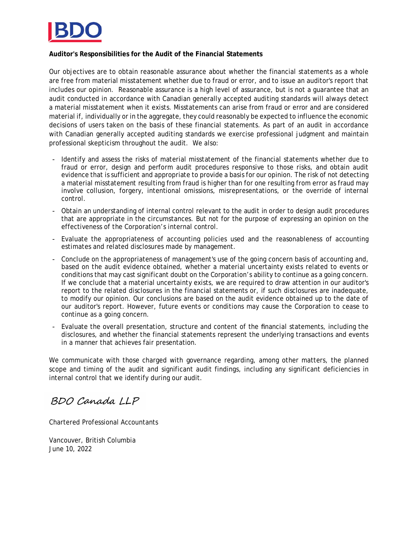

## **Auditor's Responsibilities for the Audit of the Financial Statements**

Our objectives are to obtain reasonable assurance about whether the financial statements as a whole are free from material misstatement whether due to fraud or error, and to issue an auditor's report that includes our opinion. Reasonable assurance is a high level of assurance, but is not a guarantee that an audit conducted in accordance with Canadian generally accepted auditing standards will always detect a material misstatement when it exists. Misstatements can arise from fraud or error and are considered material if, individually or in the aggregate, they could reasonably be expected to influence the economic decisions of users taken on the basis of these financial statements. As part of an audit in accordance with Canadian generally accepted auditing standards we exercise professional judgment and maintain professional skepticism throughout the audit. We also:

- Identify and assess the risks of material misstatement of the financial statements whether due to fraud or error, design and perform audit procedures responsive to those risks, and obtain audit evidence that is sufficient and appropriate to provide a basis for our opinion. The risk of not detecting a material misstatement resulting from fraud is higher than for one resulting from error as fraud may involve collusion, forgery, intentional omissions, misrepresentations, or the override of internal control.
- Obtain an understanding of internal control relevant to the audit in order to design audit procedures that are appropriate in the circumstances. But not for the purpose of expressing an opinion on the effectiveness of the Corporation's internal control.
- Evaluate the appropriateness of accounting policies used and the reasonableness of accounting estimates and related disclosures made by management.
- Conclude on the appropriateness of management's use of the going concern basis of accounting and, based on the audit evidence obtained, whether a material uncertainty exists related to events or conditions that may cast significant doubt on the Corporation's ability to continue as a going concern. If we conclude that a material uncertainty exists, we are required to draw attention in our auditor's report to the related disclosures in the financial statements or, if such disclosures are inadequate, to modify our opinion. Our conclusions are based on the audit evidence obtained up to the date of our auditor's report. However, future events or conditions may cause the Corporation to cease to continue as a going concern.
- Evaluate the overall presentation, structure and content of the financial statements, including the disclosures, and whether the financial statements represent the underlying transactions and events in a manner that achieves fair presentation.

We communicate with those charged with governance regarding, among other matters, the planned scope and timing of the audit and significant audit findings, including any significant deficiencies in internal control that we identify during our audit.

## BDO Canada LLP

Chartered Professional Accountants

Vancouver, British Columbia June 10, 2022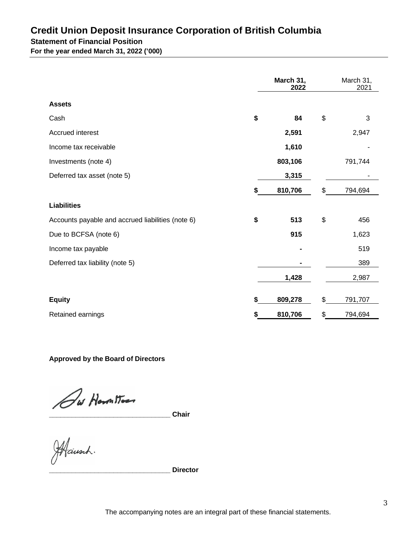## **Credit Union Deposit Insurance Corporation of British Columbia Statement of Financial Position**

**For the year ended March 31, 2022 ('000)**

|                                                   | March 31,<br>2022 | March 31,<br>2021 |
|---------------------------------------------------|-------------------|-------------------|
| <b>Assets</b>                                     |                   |                   |
| Cash                                              | \$<br>84          | \$<br>3           |
| Accrued interest                                  | 2,591             | 2,947             |
| Income tax receivable                             | 1,610             |                   |
| Investments (note 4)                              | 803,106           | 791,744           |
| Deferred tax asset (note 5)                       | 3,315             |                   |
|                                                   | 810,706           | \$<br>794,694     |
| <b>Liabilities</b>                                |                   |                   |
| Accounts payable and accrued liabilities (note 6) | \$<br>513         | \$<br>456         |
| Due to BCFSA (note 6)                             | 915               | 1,623             |
| Income tax payable                                |                   | 519               |
| Deferred tax liability (note 5)                   |                   | 389               |
|                                                   | 1,428             | 2,987             |
| <b>Equity</b>                                     | \$<br>809,278     | \$<br>791,707     |
| Retained earnings                                 | 810,706           | \$<br>794,694     |

**Approved by the Board of Directors**

Sur Horn Mo<del>rs</del><br>Chairsch.<br>Hausch.

**\_\_\_\_\_\_\_\_\_\_\_\_\_\_\_\_\_\_\_\_\_\_\_\_\_\_\_\_\_\_\_\_ Director**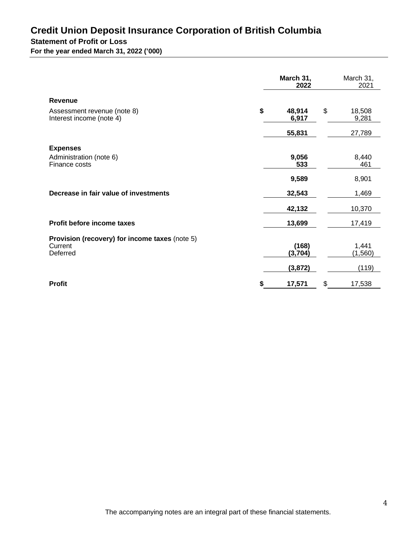# **Credit Union Deposit Insurance Corporation of British Columbia Statement of Profit or Loss**

| For the year ended March 31, 2022 ('000) |  |
|------------------------------------------|--|
|                                          |  |

|                                                         | March 31,<br>2022     | March 31,<br>2021     |
|---------------------------------------------------------|-----------------------|-----------------------|
| <b>Revenue</b>                                          |                       |                       |
| Assessment revenue (note 8)<br>Interest income (note 4) | \$<br>48,914<br>6,917 | \$<br>18,508<br>9,281 |
|                                                         | 55,831                | 27,789                |
| <b>Expenses</b>                                         |                       |                       |
| Administration (note 6)<br>Finance costs                | 9,056<br>533          | 8,440<br>461          |
|                                                         | 9,589                 | 8,901                 |
| Decrease in fair value of investments                   | 32,543                | 1,469                 |
|                                                         | 42,132                | 10,370                |
| Profit before income taxes                              | 13,699                | 17,419                |
| Provision (recovery) for income taxes (note 5)          |                       |                       |
| Current<br>Deferred                                     | (168)<br>(3,704)      | 1,441<br>(1,560)      |
|                                                         | (3, 872)              | (119)                 |
| <b>Profit</b>                                           | \$<br>17,571          | \$<br>17,538          |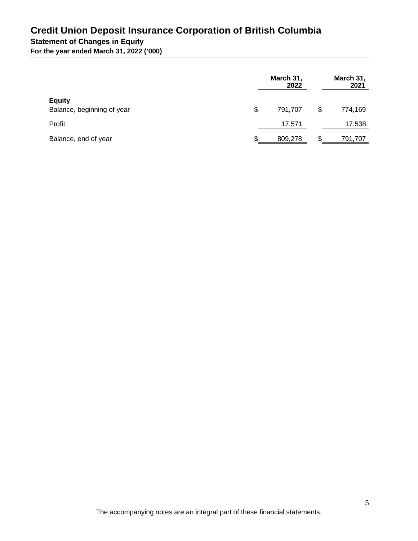## **Credit Union Deposit Insurance Corporation of British Columbia Statement of Changes in Equity**

**For the year ended March 31, 2022 ('000)**

|                                             | March 31,<br>2022 |    | March 31,<br>2021 |
|---------------------------------------------|-------------------|----|-------------------|
| <b>Equity</b><br>Balance, beginning of year | \$<br>791.707     | \$ | 774,169           |
| Profit                                      | 17,571            |    | 17,538            |
| Balance, end of year                        | \$<br>809,278     | S  | 791,707           |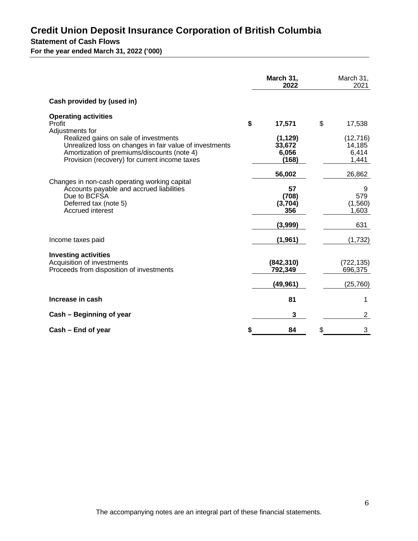## **Credit Union Deposit Insurance Corporation of British Columbia Statement of Cash Flows**

**For the year ended March 31, 2022 ('000)**

|                                                                                                                                                                                                  | March 31,<br>2022                       | March 31,<br>2021                      |
|--------------------------------------------------------------------------------------------------------------------------------------------------------------------------------------------------|-----------------------------------------|----------------------------------------|
| Cash provided by (used in)                                                                                                                                                                       |                                         |                                        |
| <b>Operating activities</b><br>Profit<br>Adjustments for                                                                                                                                         | \$<br>17,571                            | \$<br>17,538                           |
| Realized gains on sale of investments<br>Unrealized loss on changes in fair value of investments<br>Amortization of premiums/discounts (note 4)<br>Provision (recovery) for current income taxes | (1, 129)<br>33,672<br>6,056<br>(168)    | (12, 716)<br>14,185<br>6,414<br>1,441  |
| Changes in non-cash operating working capital<br>Accounts payable and accrued liabilities<br>Due to BCFSA<br>Deferred tax (note 5)<br>Accrued interest                                           | 56,002<br>57<br>(708)<br>(3,704)<br>356 | 26,862<br>9<br>579<br>(1,560)<br>1,603 |
|                                                                                                                                                                                                  | (3,999)                                 | 631                                    |
| Income taxes paid                                                                                                                                                                                | (1, 961)                                | (1,732)                                |
| <b>Investing activities</b><br>Acquisition of investments<br>Proceeds from disposition of investments                                                                                            | (842, 310)<br>792,349                   | (722, 135)<br>696,375                  |
|                                                                                                                                                                                                  | (49, 961)                               | (25, 760)                              |
| Increase in cash                                                                                                                                                                                 | 81                                      | 1                                      |
| Cash – Beginning of year                                                                                                                                                                         | 3                                       | $\overline{2}$                         |
| Cash – End of year                                                                                                                                                                               | 84                                      | 3                                      |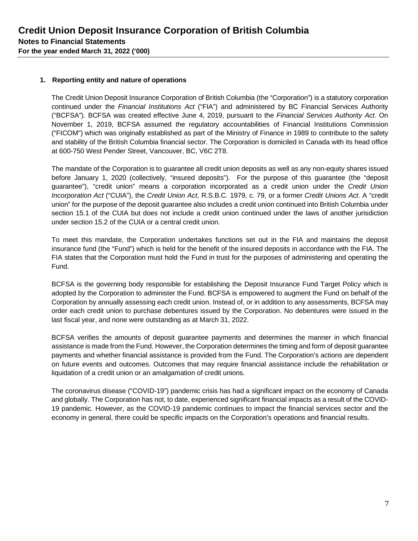## **1. Reporting entity and nature of operations**

The Credit Union Deposit Insurance Corporation of British Columbia (the "Corporation") is a statutory corporation continued under the *Financial Institutions Act* ("FIA") and administered by BC Financial Services Authority ("BCFSA"). BCFSA was created effective June 4, 2019, pursuant to the *Financial Services Authority Act*. On November 1, 2019, BCFSA assumed the regulatory accountabilities of Financial Institutions Commission ("FICOM") which was originally established as part of the Ministry of Finance in 1989 to contribute to the safety and stability of the British Columbia financial sector. The Corporation is domiciled in Canada with its head office at 600-750 West Pender Street, Vancouver, BC, V6C 2T8.

The mandate of the Corporation is to guarantee all credit union deposits as well as any non-equity shares issued before January 1, 2020 (collectively, "insured deposits"). For the purpose of this guarantee (the "deposit guarantee"), "credit union" means a corporation incorporated as a credit union under the *Credit Union Incorporation Act* ("CUIA"), the *Credit Union Act*, R.S.B.C. 1979, c. 79, or a former *Credit Unions Act*. A "credit union" for the purpose of the deposit guarantee also includes a credit union continued into British Columbia under section 15.1 of the CUIA but does not include a credit union continued under the laws of another jurisdiction under section 15.2 of the CUIA or a central credit union.

To meet this mandate, the Corporation undertakes functions set out in the FIA and maintains the deposit insurance fund (the "Fund") which is held for the benefit of the insured deposits in accordance with the FIA. The FIA states that the Corporation must hold the Fund in trust for the purposes of administering and operating the Fund.

BCFSA is the governing body responsible for establishing the Deposit Insurance Fund Target Policy which is adopted by the Corporation to administer the Fund. BCFSA is empowered to augment the Fund on behalf of the Corporation by annually assessing each credit union. Instead of, or in addition to any assessments, BCFSA may order each credit union to purchase debentures issued by the Corporation. No debentures were issued in the last fiscal year, and none were outstanding as at March 31, 2022.

BCFSA verifies the amounts of deposit guarantee payments and determines the manner in which financial assistance is made from the Fund. However, the Corporation determines the timing and form of deposit guarantee payments and whether financial assistance is provided from the Fund. The Corporation's actions are dependent on future events and outcomes. Outcomes that may require financial assistance include the rehabilitation or liquidation of a credit union or an amalgamation of credit unions.

The coronavirus disease ("COVID-19") pandemic crisis has had a significant impact on the economy of Canada and globally. The Corporation has not, to date, experienced significant financial impacts as a result of the COVID-19 pandemic. However, as the COVID-19 pandemic continues to impact the financial services sector and the economy in general, there could be specific impacts on the Corporation's operations and financial results.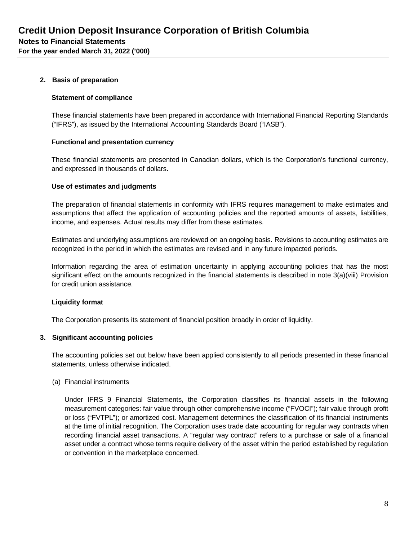## **2. Basis of preparation**

#### **Statement of compliance**

These financial statements have been prepared in accordance with International Financial Reporting Standards ("IFRS"), as issued by the International Accounting Standards Board ("IASB").

#### **Functional and presentation currency**

These financial statements are presented in Canadian dollars, which is the Corporation's functional currency, and expressed in thousands of dollars.

## **Use of estimates and judgments**

The preparation of financial statements in conformity with IFRS requires management to make estimates and assumptions that affect the application of accounting policies and the reported amounts of assets, liabilities, income, and expenses. Actual results may differ from these estimates.

Estimates and underlying assumptions are reviewed on an ongoing basis. Revisions to accounting estimates are recognized in the period in which the estimates are revised and in any future impacted periods.

Information regarding the area of estimation uncertainty in applying accounting policies that has the most significant effect on the amounts recognized in the financial statements is described in note 3(a)(viii) Provision for credit union assistance.

## **Liquidity format**

The Corporation presents its statement of financial position broadly in order of liquidity.

#### **3. Significant accounting policies**

The accounting policies set out below have been applied consistently to all periods presented in these financial statements, unless otherwise indicated.

#### (a) Financial instruments

Under IFRS 9 Financial Statements, the Corporation classifies its financial assets in the following measurement categories: fair value through other comprehensive income ("FVOCI"); fair value through profit or loss ("FVTPL"); or amortized cost. Management determines the classification of its financial instruments at the time of initial recognition. The Corporation uses trade date accounting for regular way contracts when recording financial asset transactions. A "regular way contract" refers to a purchase or sale of a financial asset under a contract whose terms require delivery of the asset within the period established by regulation or convention in the marketplace concerned.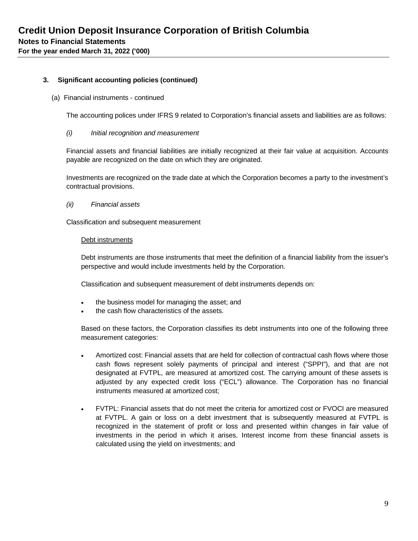#### (a) Financial instruments - continued

The accounting polices under IFRS 9 related to Corporation's financial assets and liabilities are as follows:

#### *(i) Initial recognition and measurement*

Financial assets and financial liabilities are initially recognized at their fair value at acquisition. Accounts payable are recognized on the date on which they are originated.

Investments are recognized on the trade date at which the Corporation becomes a party to the investment's contractual provisions.

*(ii) Financial assets*

Classification and subsequent measurement

#### Debt instruments

Debt instruments are those instruments that meet the definition of a financial liability from the issuer's perspective and would include investments held by the Corporation.

Classification and subsequent measurement of debt instruments depends on:

- the business model for managing the asset; and
- the cash flow characteristics of the assets.

Based on these factors, the Corporation classifies its debt instruments into one of the following three measurement categories:

- Amortized cost: Financial assets that are held for collection of contractual cash flows where those cash flows represent solely payments of principal and interest ("SPPI"), and that are not designated at FVTPL, are measured at amortized cost. The carrying amount of these assets is adjusted by any expected credit loss ("ECL") allowance. The Corporation has no financial instruments measured at amortized cost;
- FVTPL: Financial assets that do not meet the criteria for amortized cost or FVOCI are measured at FVTPL. A gain or loss on a debt investment that is subsequently measured at FVTPL is recognized in the statement of profit or loss and presented within changes in fair value of investments in the period in which it arises. Interest income from these financial assets is calculated using the yield on investments; and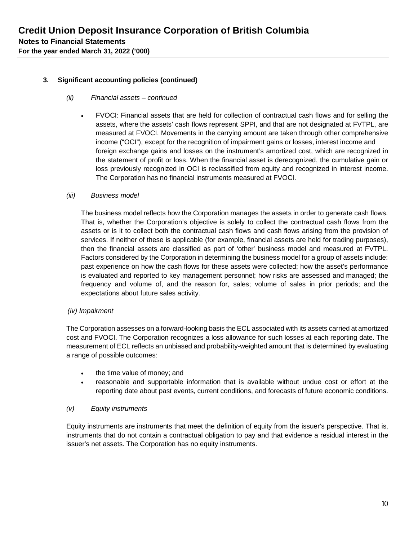#### *(ii) Financial assets – continued*

 FVOCI: Financial assets that are held for collection of contractual cash flows and for selling the assets, where the assets' cash flows represent SPPI, and that are not designated at FVTPL, are measured at FVOCI. Movements in the carrying amount are taken through other comprehensive income ("OCI"), except for the recognition of impairment gains or losses, interest income and foreign exchange gains and losses on the instrument's amortized cost, which are recognized in the statement of profit or loss. When the financial asset is derecognized, the cumulative gain or loss previously recognized in OCI is reclassified from equity and recognized in interest income. The Corporation has no financial instruments measured at FVOCI.

#### *(iii) Business model*

The business model reflects how the Corporation manages the assets in order to generate cash flows. That is, whether the Corporation's objective is solely to collect the contractual cash flows from the assets or is it to collect both the contractual cash flows and cash flows arising from the provision of services. If neither of these is applicable (for example, financial assets are held for trading purposes), then the financial assets are classified as part of 'other' business model and measured at FVTPL. Factors considered by the Corporation in determining the business model for a group of assets include: past experience on how the cash flows for these assets were collected; how the asset's performance is evaluated and reported to key management personnel; how risks are assessed and managed; the frequency and volume of, and the reason for, sales; volume of sales in prior periods; and the expectations about future sales activity.

#### *(iv) Impairment*

The Corporation assesses on a forward-looking basis the ECL associated with its assets carried at amortized cost and FVOCI. The Corporation recognizes a loss allowance for such losses at each reporting date. The measurement of ECL reflects an unbiased and probability-weighted amount that is determined by evaluating a range of possible outcomes:

- the time value of money; and
- reasonable and supportable information that is available without undue cost or effort at the reporting date about past events, current conditions, and forecasts of future economic conditions.

#### *(v) Equity instruments*

Equity instruments are instruments that meet the definition of equity from the issuer's perspective. That is, instruments that do not contain a contractual obligation to pay and that evidence a residual interest in the issuer's net assets. The Corporation has no equity instruments.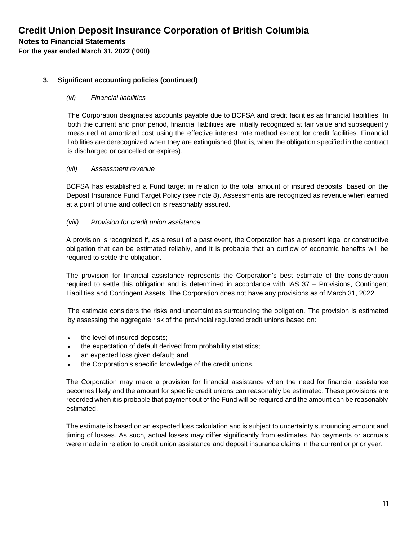#### *(vi) Financial liabilities*

The Corporation designates accounts payable due to BCFSA and credit facilities as financial liabilities. In both the current and prior period, financial liabilities are initially recognized at fair value and subsequently measured at amortized cost using the effective interest rate method except for credit facilities. Financial liabilities are derecognized when they are extinguished (that is, when the obligation specified in the contract is discharged or cancelled or expires).

#### *(vii) Assessment revenue*

BCFSA has established a Fund target in relation to the total amount of insured deposits, based on the Deposit Insurance Fund Target Policy (see note 8). Assessments are recognized as revenue when earned at a point of time and collection is reasonably assured.

#### *(viii) Provision for credit union assistance*

A provision is recognized if, as a result of a past event, the Corporation has a present legal or constructive obligation that can be estimated reliably, and it is probable that an outflow of economic benefits will be required to settle the obligation.

The provision for financial assistance represents the Corporation's best estimate of the consideration required to settle this obligation and is determined in accordance with IAS 37 – Provisions, Contingent Liabilities and Contingent Assets. The Corporation does not have any provisions as of March 31, 2022.

The estimate considers the risks and uncertainties surrounding the obligation. The provision is estimated by assessing the aggregate risk of the provincial regulated credit unions based on:

- the level of insured deposits;
- the expectation of default derived from probability statistics;
- an expected loss given default; and
- the Corporation's specific knowledge of the credit unions.

The Corporation may make a provision for financial assistance when the need for financial assistance becomes likely and the amount for specific credit unions can reasonably be estimated. These provisions are recorded when it is probable that payment out of the Fund will be required and the amount can be reasonably estimated.

The estimate is based on an expected loss calculation and is subject to uncertainty surrounding amount and timing of losses. As such, actual losses may differ significantly from estimates. No payments or accruals were made in relation to credit union assistance and deposit insurance claims in the current or prior year.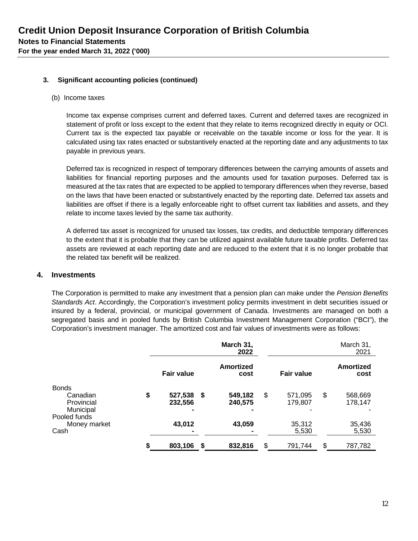#### (b) Income taxes

Income tax expense comprises current and deferred taxes. Current and deferred taxes are recognized in statement of profit or loss except to the extent that they relate to items recognized directly in equity or OCI. Current tax is the expected tax payable or receivable on the taxable income or loss for the year. It is calculated using tax rates enacted or substantively enacted at the reporting date and any adjustments to tax payable in previous years.

Deferred tax is recognized in respect of temporary differences between the carrying amounts of assets and liabilities for financial reporting purposes and the amounts used for taxation purposes. Deferred tax is measured at the tax rates that are expected to be applied to temporary differences when they reverse, based on the laws that have been enacted or substantively enacted by the reporting date. Deferred tax assets and liabilities are offset if there is a legally enforceable right to offset current tax liabilities and assets, and they relate to income taxes levied by the same tax authority.

A deferred tax asset is recognized for unused tax losses, tax credits, and deductible temporary differences to the extent that it is probable that they can be utilized against available future taxable profits. Deferred tax assets are reviewed at each reporting date and are reduced to the extent that it is no longer probable that the related tax benefit will be realized.

#### **4. Investments**

The Corporation is permitted to make any investment that a pension plan can make under the *Pension Benefits Standards Act*. Accordingly, the Corporation's investment policy permits investment in debt securities issued or insured by a federal, provincial, or municipal government of Canada. Investments are managed on both a segregated basis and in pooled funds by British Columbia Investment Management Corporation ("BCI"), the Corporation's investment manager. The amortized cost and fair values of investments were as follows:

|                        | March 31,<br>2022        |     |                    |    |                    |                   | March 31,<br>2021  |
|------------------------|--------------------------|-----|--------------------|----|--------------------|-------------------|--------------------|
|                        | <b>Fair value</b>        |     | Amortized<br>cost  |    |                    | <b>Fair value</b> |                    |
| <b>Bonds</b>           |                          |     |                    |    |                    |                   |                    |
| Canadian<br>Provincial | \$<br>527,538<br>232,556 | -\$ | 549,182<br>240,575 | \$ | 571,095<br>179.807 | \$                | 568,669<br>178,147 |
| Municipal              | $\blacksquare$           |     | -                  |    |                    |                   |                    |
| Pooled funds           |                          |     |                    |    |                    |                   |                    |
| Money market           | 43,012                   |     | 43,059             |    | 35,312             |                   | 35,436             |
| Cash                   |                          |     |                    |    | 5,530              |                   | 5,530              |
|                        | \$<br>803,106            | S.  | 832,816            | \$ | 791,744            | \$                | 787,782            |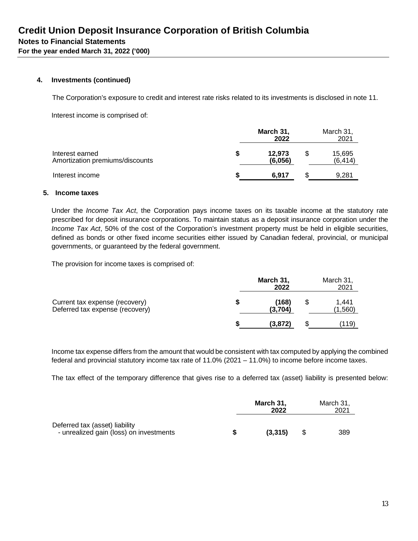#### **4. Investments (continued)**

The Corporation's exposure to credit and interest rate risks related to its investments is disclosed in note 11.

Interest income is comprised of:

|                                                    | March 31,<br>2022 | March 31.<br>2021 |  |
|----------------------------------------------------|-------------------|-------------------|--|
| Interest earned<br>Amortization premiums/discounts | 12.973<br>(6.056) | 15,695<br>(6.414) |  |
| Interest income                                    | 6.917             | 9.281             |  |

#### **5. Income taxes**

Under the *Income Tax Act*, the Corporation pays income taxes on its taxable income at the statutory rate prescribed for deposit insurance corporations. To maintain status as a deposit insurance corporation under the *Income Tax Act*, 50% of the cost of the Corporation's investment property must be held in eligible securities, defined as bonds or other fixed income securities either issued by Canadian federal, provincial, or municipal governments, or guaranteed by the federal government.

The provision for income taxes is comprised of:

|                                                                   | March 31,<br>2022 | March 31,<br>2021 |                  |
|-------------------------------------------------------------------|-------------------|-------------------|------------------|
| Current tax expense (recovery)<br>Deferred tax expense (recovery) | (168)<br>(3.704)  |                   | 1.441<br>(1,560) |
|                                                                   | (3,872)           |                   | (119)            |

Income tax expense differs from the amount that would be consistent with tax computed by applying the combined federal and provincial statutory income tax rate of 11.0% (2021 – 11.0%) to income before income taxes.

The tax effect of the temporary difference that gives rise to a deferred tax (asset) liability is presented below:

|                                                                           | March 31,<br>2022 | March 31,<br>2021 |  |  |
|---------------------------------------------------------------------------|-------------------|-------------------|--|--|
| Deferred tax (asset) liability<br>- unrealized gain (loss) on investments | (3.315)           | 389               |  |  |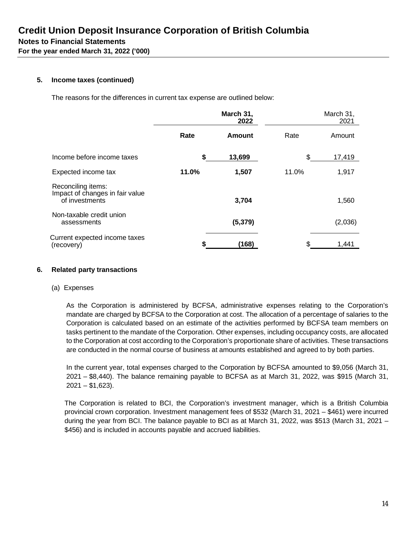## **5. Income taxes (continued)**

The reasons for the differences in current tax expense are outlined below:

|                                                                         |       | March 31,<br>2022 |       | March 31,<br>2021 |
|-------------------------------------------------------------------------|-------|-------------------|-------|-------------------|
|                                                                         | Rate  | <b>Amount</b>     | Rate  | Amount            |
| Income before income taxes                                              | \$    | 13,699            | \$    | 17,419            |
| Expected income tax                                                     | 11.0% | 1,507             | 11.0% | 1,917             |
| Reconciling items:<br>Impact of changes in fair value<br>of investments |       | 3,704             |       | 1,560             |
| Non-taxable credit union<br>assessments                                 |       | (5, 379)          |       | (2,036)           |
| Current expected income taxes<br>(recovery)                             |       | (168)             |       | 1,441             |

#### **6. Related party transactions**

#### (a) Expenses

As the Corporation is administered by BCFSA, administrative expenses relating to the Corporation's mandate are charged by BCFSA to the Corporation at cost. The allocation of a percentage of salaries to the Corporation is calculated based on an estimate of the activities performed by BCFSA team members on tasks pertinent to the mandate of the Corporation. Other expenses, including occupancy costs, are allocated to the Corporation at cost according to the Corporation's proportionate share of activities. These transactions are conducted in the normal course of business at amounts established and agreed to by both parties.

In the current year, total expenses charged to the Corporation by BCFSA amounted to \$9,056 (March 31, 2021 – \$8,440). The balance remaining payable to BCFSA as at March 31, 2022, was \$915 (March 31,  $2021 - $1,623$ ).

The Corporation is related to BCI, the Corporation's investment manager, which is a British Columbia provincial crown corporation. Investment management fees of \$532 (March 31, 2021 – \$461) were incurred during the year from BCI. The balance payable to BCI as at March 31, 2022, was \$513 (March 31, 2021 – \$456) and is included in accounts payable and accrued liabilities.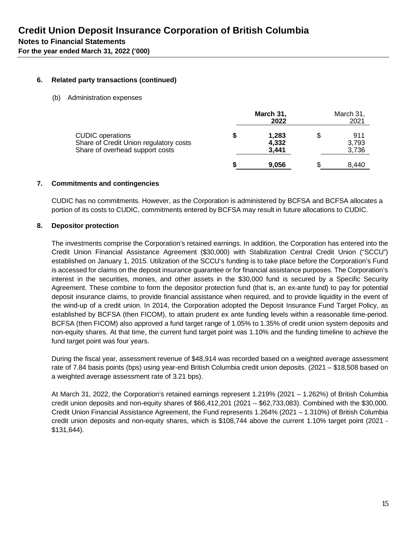## **6. Related party transactions (continued)**

(b) Administration expenses

|                                                                                                      |    | March 31,<br>2022       | March 31,<br>2021           |
|------------------------------------------------------------------------------------------------------|----|-------------------------|-----------------------------|
| <b>CUDIC</b> operations<br>Share of Credit Union regulatory costs<br>Share of overhead support costs | \$ | 1,283<br>4,332<br>3,441 | \$<br>911<br>3,793<br>3,736 |
|                                                                                                      | S  | 9,056                   | 8,440                       |

## **7. Commitments and contingencies**

CUDIC has no commitments. However, as the Corporation is administered by BCFSA and BCFSA allocates a portion of its costs to CUDIC, commitments entered by BCFSA may result in future allocations to CUDIC.

#### **8. Depositor protection**

The investments comprise the Corporation's retained earnings. In addition, the Corporation has entered into the Credit Union Financial Assistance Agreement (\$30,000) with Stabilization Central Credit Union ("SCCU") established on January 1, 2015. Utilization of the SCCU's funding is to take place before the Corporation's Fund is accessed for claims on the deposit insurance guarantee or for financial assistance purposes. The Corporation's interest in the securities, monies, and other assets in the \$30,000 fund is secured by a Specific Security Agreement. These combine to form the depositor protection fund (that is, an ex-ante fund) to pay for potential deposit insurance claims, to provide financial assistance when required, and to provide liquidity in the event of the wind-up of a credit union. In 2014, the Corporation adopted the Deposit Insurance Fund Target Policy, as established by BCFSA (then FICOM), to attain prudent ex ante funding levels within a reasonable time-period. BCFSA (then FICOM) also approved a fund target range of 1.05% to 1.35% of credit union system deposits and non-equity shares. At that time, the current fund target point was 1.10% and the funding timeline to achieve the fund target point was four years.

During the fiscal year, assessment revenue of \$48,914 was recorded based on a weighted average assessment rate of 7.84 basis points (bps) using year-end British Columbia credit union deposits. (2021 – \$18,508 based on a weighted average assessment rate of 3.21 bps).

At March 31, 2022, the Corporation's retained earnings represent 1.219% (2021 – 1.262%) of British Columbia credit union deposits and non-equity shares of \$66,412,201 (2021 – \$62,733,083). Combined with the \$30,000. Credit Union Financial Assistance Agreement, the Fund represents 1.264% (2021 – 1.310%) of British Columbia credit union deposits and non-equity shares, which is \$108,744 above the current 1.10% target point (2021 - \$131,644).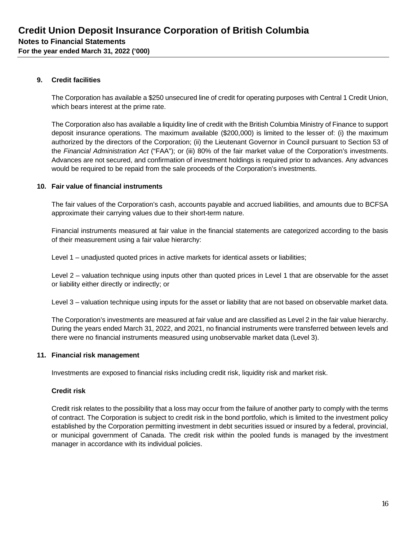## **9. Credit facilities**

The Corporation has available a \$250 unsecured line of credit for operating purposes with Central 1 Credit Union, which bears interest at the prime rate.

The Corporation also has available a liquidity line of credit with the British Columbia Ministry of Finance to support deposit insurance operations. The maximum available (\$200,000) is limited to the lesser of: (i) the maximum authorized by the directors of the Corporation; (ii) the Lieutenant Governor in Council pursuant to Section 53 of the *Financial Administration Act* ("FAA"); or (iii) 80% of the fair market value of the Corporation's investments. Advances are not secured, and confirmation of investment holdings is required prior to advances. Any advances would be required to be repaid from the sale proceeds of the Corporation's investments.

## **10. Fair value of financial instruments**

The fair values of the Corporation's cash, accounts payable and accrued liabilities, and amounts due to BCFSA approximate their carrying values due to their short-term nature.

Financial instruments measured at fair value in the financial statements are categorized according to the basis of their measurement using a fair value hierarchy:

Level 1 – unadjusted quoted prices in active markets for identical assets or liabilities;

Level 2 – valuation technique using inputs other than quoted prices in Level 1 that are observable for the asset or liability either directly or indirectly; or

Level 3 – valuation technique using inputs for the asset or liability that are not based on observable market data.

The Corporation's investments are measured at fair value and are classified as Level 2 in the fair value hierarchy. During the years ended March 31, 2022, and 2021, no financial instruments were transferred between levels and there were no financial instruments measured using unobservable market data (Level 3).

#### **11. Financial risk management**

Investments are exposed to financial risks including credit risk, liquidity risk and market risk.

## **Credit risk**

Credit risk relates to the possibility that a loss may occur from the failure of another party to comply with the terms of contract. The Corporation is subject to credit risk in the bond portfolio, which is limited to the investment policy established by the Corporation permitting investment in debt securities issued or insured by a federal, provincial, or municipal government of Canada. The credit risk within the pooled funds is managed by the investment manager in accordance with its individual policies.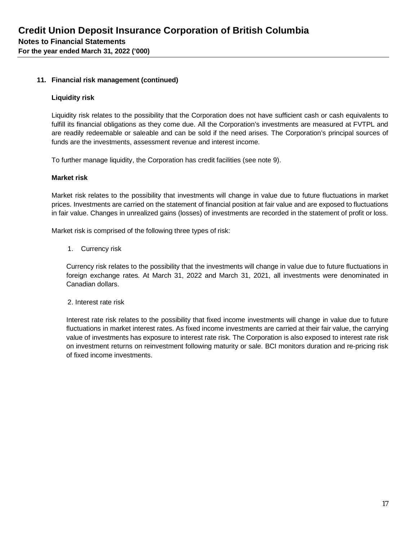## **11. Financial risk management (continued)**

#### **Liquidity risk**

Liquidity risk relates to the possibility that the Corporation does not have sufficient cash or cash equivalents to fulfill its financial obligations as they come due. All the Corporation's investments are measured at FVTPL and are readily redeemable or saleable and can be sold if the need arises. The Corporation's principal sources of funds are the investments, assessment revenue and interest income.

To further manage liquidity, the Corporation has credit facilities (see note 9).

#### **Market risk**

Market risk relates to the possibility that investments will change in value due to future fluctuations in market prices. Investments are carried on the statement of financial position at fair value and are exposed to fluctuations in fair value. Changes in unrealized gains (losses) of investments are recorded in the statement of profit or loss.

Market risk is comprised of the following three types of risk:

1. Currency risk

Currency risk relates to the possibility that the investments will change in value due to future fluctuations in foreign exchange rates. At March 31, 2022 and March 31, 2021, all investments were denominated in Canadian dollars.

2. Interest rate risk

Interest rate risk relates to the possibility that fixed income investments will change in value due to future fluctuations in market interest rates. As fixed income investments are carried at their fair value, the carrying value of investments has exposure to interest rate risk. The Corporation is also exposed to interest rate risk on investment returns on reinvestment following maturity or sale. BCI monitors duration and re-pricing risk of fixed income investments.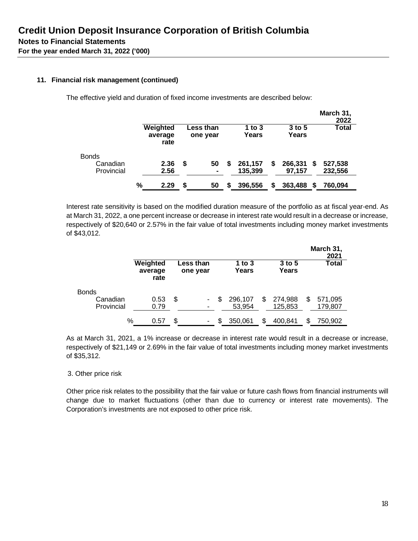## **11. Financial risk management (continued)**

The effective yield and duration of fixed income investments are described below:

|              |   |                             |    |                       |    |                   |    |                   |   | March 31,<br>2022 |
|--------------|---|-----------------------------|----|-----------------------|----|-------------------|----|-------------------|---|-------------------|
|              |   | Weighted<br>average<br>rate |    | Less than<br>one year |    | 1 to $3$<br>Years |    | $3$ to 5<br>Years |   | <b>Total</b>      |
| <b>Bonds</b> |   |                             |    |                       |    |                   |    |                   |   |                   |
| Canadian     |   | 2.36                        | S  | 50                    | \$ | 261,157           | \$ | 266,331           | S | 527,538           |
| Provincial   |   | 2.56                        |    | $\blacksquare$        |    | 135,399           |    | 97.157            |   | 232,556           |
|              | % | 2.29                        | \$ | 50                    | S  | 396,556           | S  | 363,488           |   | 760.094           |

Interest rate sensitivity is based on the modified duration measure of the portfolio as at fiscal year-end. As at March 31, 2022, a one percent increase or decrease in interest rate would result in a decrease or increase, respectively of \$20,640 or 2.57% in the fair value of total investments including money market investments of \$43,012.

|              |                             |                       |                   |     |                   | March 31,<br>2021 |
|--------------|-----------------------------|-----------------------|-------------------|-----|-------------------|-------------------|
|              | Weighted<br>average<br>rate | ess than.<br>one year | 1 to $3$<br>Years |     | $3$ to 5<br>Years | Total             |
| <b>Bonds</b> |                             |                       |                   |     |                   |                   |
| Canadian     | 0.53                        | \$<br>۰               | 296.107           | \$. | 274,988           | \$<br>571,095     |
| Provincial   | 0.79                        | ٠                     | 53,954            |     | 125,853           | 179,807           |
| %            | 0.57                        | \$<br>۰               | \$<br>350.061     | \$  | 400.841           | \$<br>750,902     |

As at March 31, 2021, a 1% increase or decrease in interest rate would result in a decrease or increase, respectively of \$21,149 or 2.69% in the fair value of total investments including money market investments of \$35,312.

#### 3. Other price risk

Other price risk relates to the possibility that the fair value or future cash flows from financial instruments will change due to market fluctuations (other than due to currency or interest rate movements). The Corporation's investments are not exposed to other price risk.